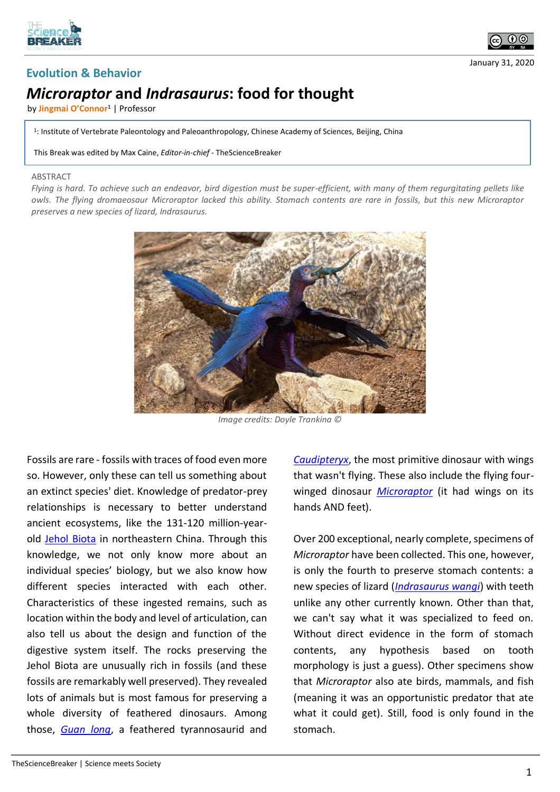



January 31, 2020

## **Evolution & Behavior**

## *Microraptor* **and** *Indrasaurus***: food for thought**

by **Jingmai O'Connor<sup>1</sup>** | Professor

1 : Institute of Vertebrate Paleontology and Paleoanthropology, Chinese Academy of Sciences, Beijing, China

This Break was edited by Max Caine, *Editor-in-chief* - TheScienceBreaker

## ABSTRACT

*Flying is hard. To achieve such an endeavor, bird digestion must be super-efficient, with many of them regurgitating pellets like owls. The flying dromaeosaur Microraptor lacked this ability. Stomach contents are rare in fossils, but this new Microraptor preserves a new species of lizard, Indrasaurus.*



*Image credits: Doyle Trankina ©*

Fossils are rare - fossils with traces of food even more so. However, only these can tell us something about an extinct species' diet. Knowledge of predator-prey relationships is necessary to better understand ancient ecosystems, like the 131-120 million-yearold [Jehol Biota](https://en.wikipedia.org/wiki/Jehol_Biota) in northeastern China. Through this knowledge, we not only know more about an individual species' biology, but we also know how different species interacted with each other. Characteristics of these ingested remains, such as location within the body and level of articulation, can also tell us about the design and function of the digestive system itself. The rocks preserving the Jehol Biota are unusually rich in fossils (and these fossils are remarkably well preserved). They revealed lots of animals but is most famous for preserving a whole diversity of feathered dinosaurs. Among those, *[Guan long](https://en.wikipedia.org/wiki/Guanlong)*, a feathered tyrannosaurid and

*[Caudipteryx](https://en.wikipedia.org/wiki/Caudipteryx)*, the most primitive dinosaur with wings that wasn't flying. These also include the flying fourwinged dinosaur *[Microraptor](https://en.wikipedia.org/wiki/Microraptor)* (it had wings on its hands AND feet).

Over 200 exceptional, nearly complete, specimens of *Microraptor* have been collected. This one, however, is only the fourth to preserve stomach contents: a new species of lizard (*[Indrasaurus wangi](https://en.wikipedia.org/wiki/Indrasaurus)*) with teeth unlike any other currently known. Other than that, we can't say what it was specialized to feed on. Without direct evidence in the form of stomach contents, any hypothesis based on tooth morphology is just a guess). Other specimens show that *Microraptor* also ate birds, mammals, and fish (meaning it was an opportunistic predator that ate what it could get). Still, food is only found in the stomach.